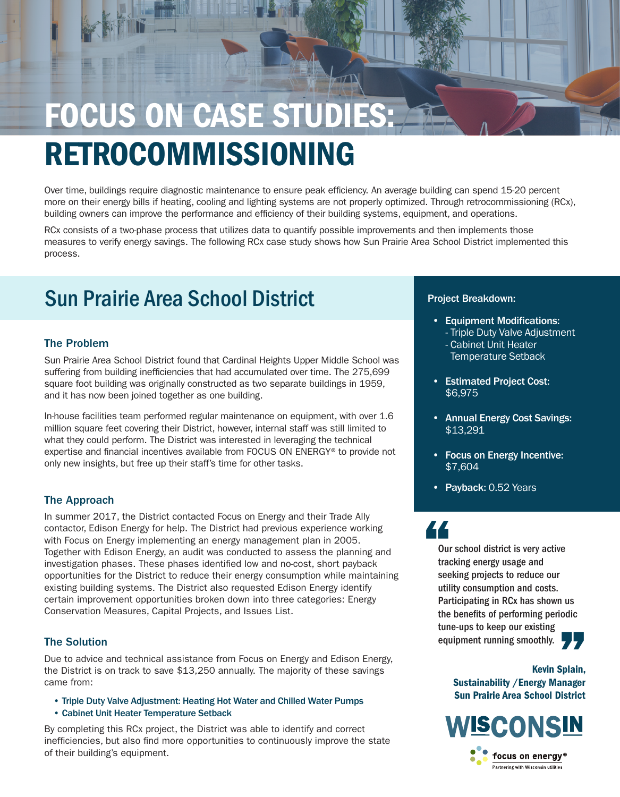# **FOCUS ON CASE STUDIES** RETROCOMMISSIONING

Over time, buildings require diagnostic maintenance to ensure peak efficiency. An average building can spend 15-20 percent more on their energy bills if heating, cooling and lighting systems are not properly optimized. Through retrocommissioning (RCx), building owners can improve the performance and efficiency of their building systems, equipment, and operations.

 $\sqrt{11}$ 

RCx consists of a two-phase process that utilizes data to quantify possible improvements and then implements those measures to verify energy savings. The following RCx case study shows how Sun Prairie Area School District implemented this process.

## Sun Prairie Area School District **Project Breakdown:**

### The Problem

Sun Prairie Area School District found that Cardinal Heights Upper Middle School was suffering from building inefficiencies that had accumulated over time. The 275,699 square foot building was originally constructed as two separate buildings in 1959, and it has now been joined together as one building.

In-house facilities team performed regular maintenance on equipment, with over 1.6 million square feet covering their District, however, internal staff was still limited to what they could perform. The District was interested in leveraging the technical expertise and financial incentives available from FOCUS ON ENERGY® to provide not only new insights, but free up their staff's time for other tasks.

### The Approach

In summer 2017, the District contacted Focus on Energy and their Trade Ally contactor, Edison Energy for help. The District had previous experience working with Focus on Energy implementing an energy management plan in 2005. Together with Edison Energy, an audit was conducted to assess the planning and investigation phases. These phases identified low and no-cost, short payback opportunities for the District to reduce their energy consumption while maintaining existing building systems. The District also requested Edison Energy identify certain improvement opportunities broken down into three categories: Energy Conservation Measures, Capital Projects, and Issues List.

### The Solution

Due to advice and technical assistance from Focus on Energy and Edison Energy, the District is on track to save \$13,250 annually. The majority of these savings came from:

- Triple Duty Valve Adjustment: Heating Hot Water and Chilled Water Pumps
- Cabinet Unit Heater Temperature Setback

By completing this RCx project, the District was able to identify and correct inefficiencies, but also find more opportunities to continuously improve the state of their building's equipment.

- Equipment Modifications: - Triple Duty Valve Adjustment - Cabinet Unit Heater Temperature Setback
- Estimated Project Cost: \$6,975
- Annual Energy Cost Savings: \$13,291
- Focus on Energy Incentive: \$7,604
- Payback: 0.52 Years

## "

Our school district is very active tracking energy usage and seeking projects to reduce our utility consumption and costs. Participating in RCx has shown us the benefits of performing periodic tune-ups to keep our existing equipment running smoothly. 77

> Kevin Splain, Sustainability /Energy Manager Sun Prairie Area School District